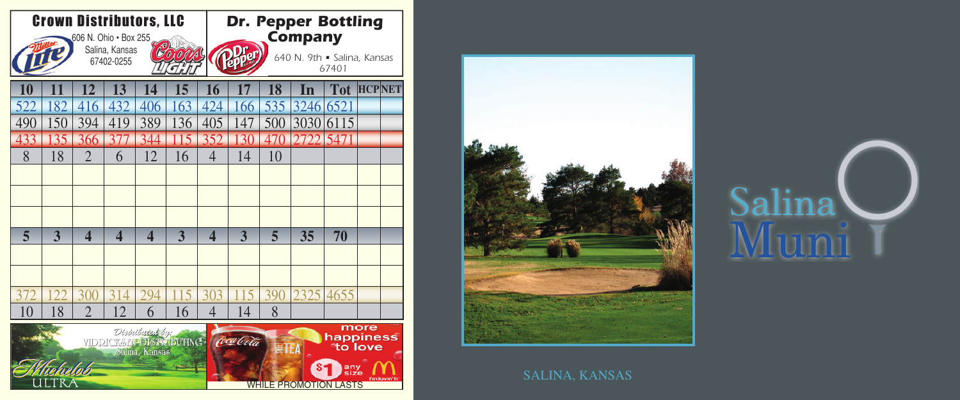



## Salina Muni